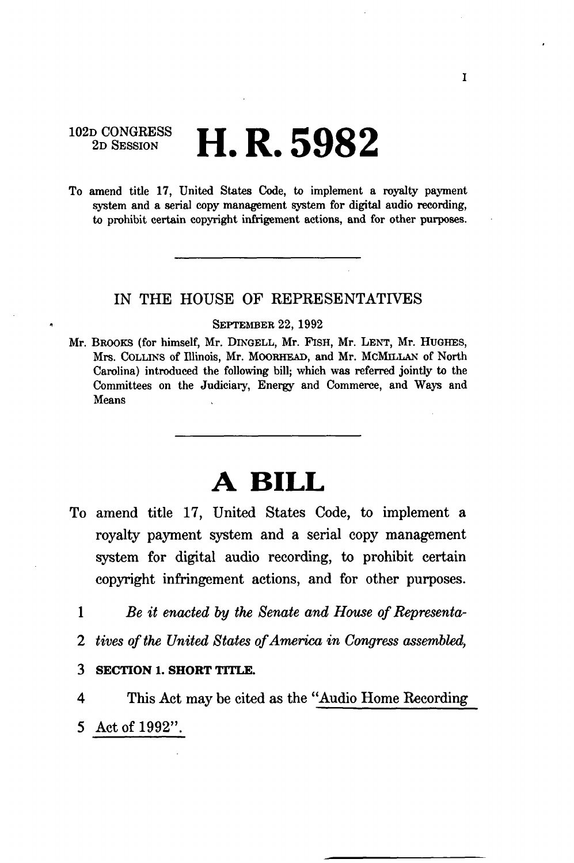102D CONGRESS **II D FOQ O 2D SESSION hLK . oMo Z** 

To amend title 17, United States Code, to implement a royalty payment system and a serial copy management system for digital audio recording, to prohibit certain copyright infrigement actions, and for other purposes.

## IN THE HOUSE OF REPRESENTATIVES

## SEPTEMBER 22, 1992

Mr. BROOKS (for himself, Mr. DINGELL, Mr. FISH, Mr. LENT, Mr. HUGHES, Mrs. COLLINS of Illinois, Mr. MOORHEAD, and Mr. MCMILLAN of North Carolina) introduced the following bill; which was referred jointly to the Committees on the Judiciary, Energy and Commerce, and Ways and Means

# **A BILL**

- To amend title 17, United States Code, to implement a royalty payment system and a serial copy management system for digital audio recording, to prohibit certain copyright infringement actions, and for other purposes.
	- 1 *Be it enacted by the Senate and House of Representa-*
	- 2 *tives of the United States of America in Congress assembled,*
	- **3 SECTION 1. SHORT TITLE.**

4 This Act may be cited as the "Audio Home Recording 5 Act of 1992".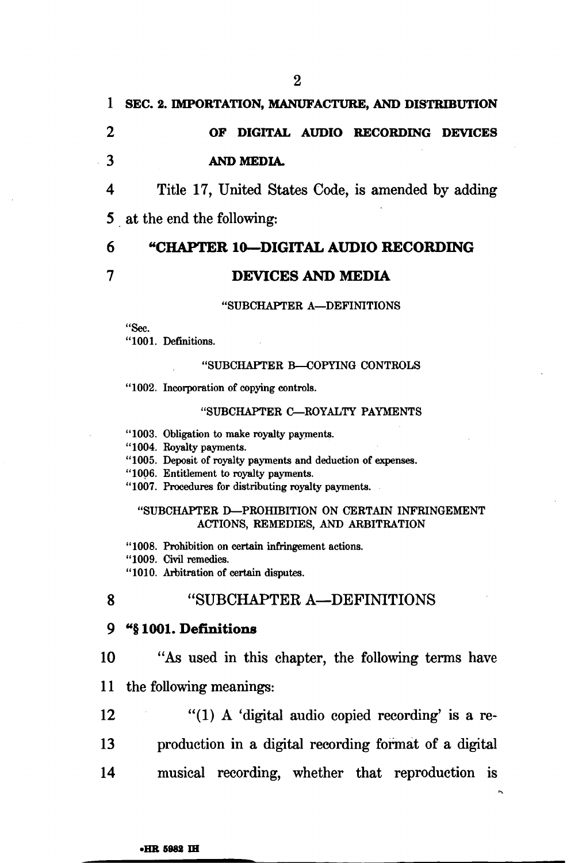# **1 SEC. 2. IMPORTATION, MANUFACTURE, AND DISTRIBUTION 2 OF DIGITAL AUDIO RECORDING DEVICES 3 AND MEDIA.**

4 Title 17, United States Code, is amended by adding 5 at the end the following:

# 6 **"CHAPTER 10—DIGITAL AUDIO RECORDING 7 DEVICES AND MEDIA**

### "SUBCHAPTER A—DEFINITIONS

"Sec.

"1001. Definitions.

### "SUBCHAPTER B—COPYING CONTROLS

"1002. Incorporation of copying controls.

### "SUBCHAPTER C—ROYALTY PAYMENTS

"1003. Obligation to make royalty payments.

"1004. Royalty payments.

"1005. Deposit of royalty payments and deduction of expenses.

"1006. Entitlement to royalty payments.

"1007. Procedures for distributing royalty payments.

### "SUBCHAPTER D-PROHIBITION ON CERTAIN INFRINGEMENT ACTIONS, REMEDIES, AND ARBITRATION

"1008. Prohibition on certain infringement actions.

"1009. Civil remedies.

"1010. Arbitration of certain disputes.

## 8 "SUBCHAPTER A—DEFINITIONS

#### 9 <sup>a</sup>§ **1001. Definitions**

**10** "As used in this chapter, the following terms have

11 the following meanings:

 $12$  "(1) A 'digital audio copied recording' is a re-

13 production in a digital recording format of a digital

14 musical recording, whether that reproduction is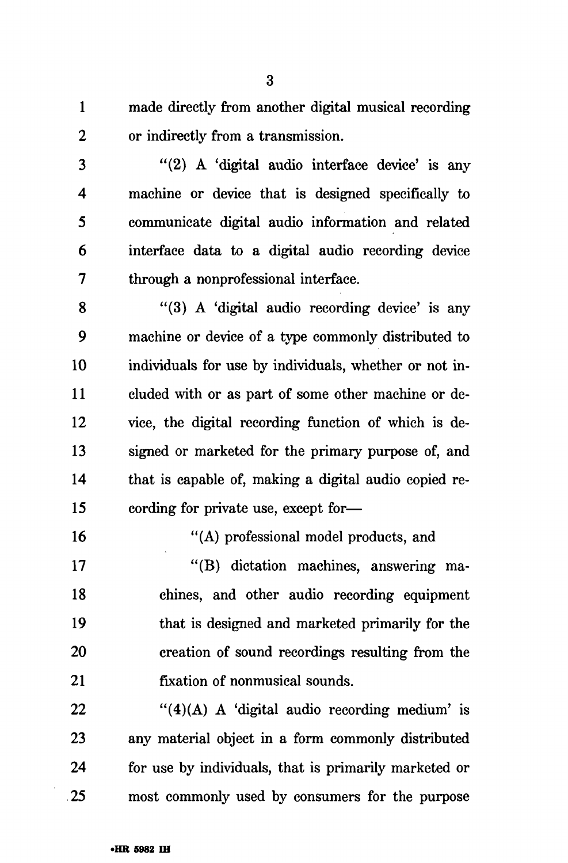1 made directly from another digital musical recording 2 or indirectly from a transmission.

3 "(2) A 'digital audio interface device' is any 4 machine or device that is designed specifically to 5 communicate digital audio information and related 6 interface data to a digital audio recording device 7 through a nonprofessional interface.

8 "(3) A 'digital audio recording device' is any 9 machine or device of a type commonly distributed to 10 individuals for use by individuals, whether or not in-11 eluded with or as part of some other machine or de-12 vice, the digital recording function of which is de-13 signed or marketed for the primary purpose of, and 14 that is capable of, making a digital audio copied re-15 cording for private use, except for—

16 "(A) professional model products, and

17 "(B) dictation machines, answering ma-18 chines, and other audio recording equipment 19 that is designed and marketed primarily for the 20 creation of sound recordings resulting from the 21 fixation of nonmusical sounds.

22  $\frac{4}{4}(A)$  A 'digital audio recording medium' is 23 any material object in a form commonly distributed 24 for use by individuals, that is primarily marketed or 25 most commonly used by consumers for the purpose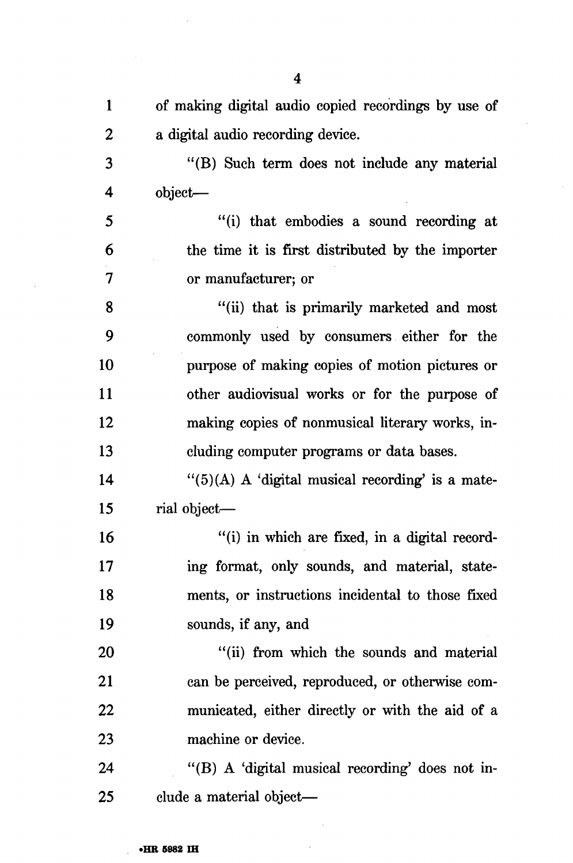| $\mathbf{1}$     | of making digital audio copied recordings by use of     |
|------------------|---------------------------------------------------------|
| $\boldsymbol{2}$ | a digital audio recording device.                       |
| 3                | "(B) Such term does not include any material            |
| 4                | object—                                                 |
| 5                | "(i) that embodies a sound recording at                 |
| 6                | the time it is first distributed by the importer        |
| $\overline{7}$   | or manufacturer; or                                     |
| 8                | "(ii) that is primarily marketed and most               |
| 9                | commonly used by consumers either for the               |
| 10               | purpose of making copies of motion pictures or          |
| 11               | other audiovisual works or for the purpose of           |
| 12               | making copies of nonmusical literary works, in-         |
| 13               | cluding computer programs or data bases.                |
| 14               | $\cdot$ (5)(A) A 'digital musical recording' is a mate- |
| 15               | rial object-                                            |
| 16               | "(i) in which are fixed, in a digital record-           |
| 17               | ing format, only sounds, and material, state-           |
| 18               | ments, or instructions incidental to those fixed        |
| 19               | sounds, if any, and                                     |
| <b>20</b>        | "(ii) from which the sounds and material                |
| 21               | can be perceived, reproduced, or otherwise com-         |
| 22               | municated, either directly or with the aid of a         |
| 23               | machine or device.                                      |
| 24               | "(B) A 'digital musical recording' does not in-         |
| 25               | clude a material object—                                |

 $\sim$ 

J.

 $\bar{\mathcal{A}}$ 

 $\hat{\boldsymbol{\beta}}$ 

 $\mathcal{A}$ 

 $\bar{z}$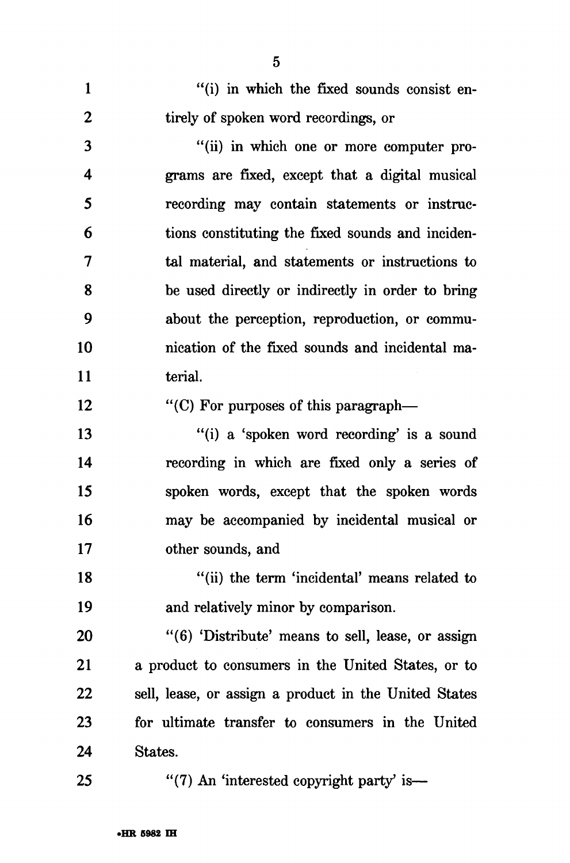1 "(i) in which the fixed sounds consist en-2 tirely of spoken word recordings, or

3 "(ii) in which one or more computer pro-4 grams are fixed, except that a digital musical 5 recording may contain statements or instruc-6 tions constituting the fixed sounds and inciden-7 tal material, and statements or instructions to 8 be used directly or indirectly in order to bring 9 about the perception, reproduction, or commu-10 nication of the fixed sounds and incidental ma-11 terial.

12 "(C) For purposes of this paragraph—

13 "(i) a 'spoken word recording' is a sound 14 recording in which are fixed only a series of 15 spoken words, except that the spoken words 16 may be accompanied by incidental musical or 17 other sounds, and

18 "(ii) the term 'incidental' means related to 19 and relatively minor by comparison.

20 "(6) 'Distribute' means to sell, lease, or assign 21 a product to consumers in the United States, or to 22 sell, lease, or assign a product in the United States 23 for ultimate transfer to consumers in the United 24 States.

25 "(7) An 'interested copyright party' is—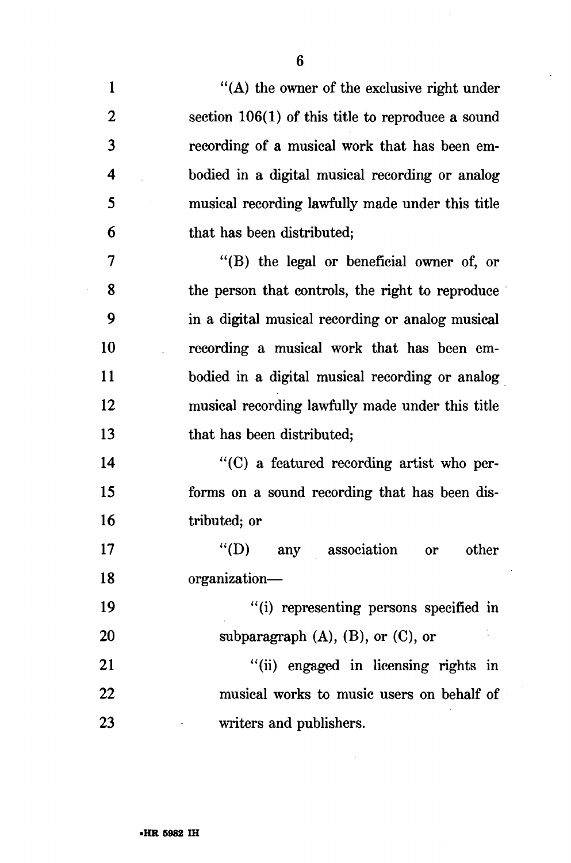| $\mathbf{1}$     | "(A) the owner of the exclusive right under         |
|------------------|-----------------------------------------------------|
| $\boldsymbol{2}$ | section $106(1)$ of this title to reproduce a sound |
| 3                | recording of a musical work that has been em-       |
| 4                | bodied in a digital musical recording or analog     |
| 5                | musical recording lawfully made under this title    |
| 6                | that has been distributed;                          |
| $\overline{7}$   | "(B) the legal or beneficial owner of, or           |
| 8                | the person that controls, the right to reproduce    |
| 9                | in a digital musical recording or analog musical    |
| 10               | recording a musical work that has been em-          |
| <b>11</b>        | bodied in a digital musical recording or analog     |
| 12               | musical recording lawfully made under this title    |
| 13               | that has been distributed;                          |
| 14               | "(C) a featured recording artist who per-           |
| 15               | forms on a sound recording that has been dis-       |
| 16               | tributed; or                                        |
| 17               | $\lq (D)$<br>any association<br>other<br>or         |
| 18               | organization-                                       |
| 19               | "(i) representing persons specified in              |
| 20               | subparagraph $(A)$ , $(B)$ , or $(C)$ , or<br>P.    |
| 21               | "(ii) engaged in licensing rights in                |
| 22               | musical works to music users on behalf of           |
| 23               | writers and publishers.                             |

6

 $\overline{\phantom{a}}$ 

 $\cdot$ 

 $\sim$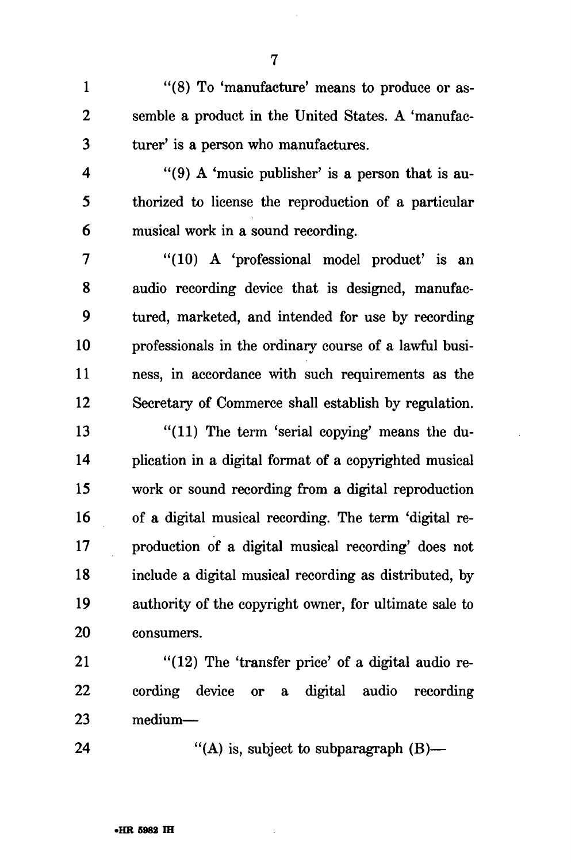1 "(8) To 'manufacture' means to produce or as-2 semble a product in the United States. A 'manufac-3 turer' is a person who manufactures.

4 "(9) A 'music publisher' is a person that is au-5 thorized to license the reproduction of a particular 6 musical work in a sound recording.

7 "(10) A 'professional model product' is an 8 audio recording device that is designed, manufac-9 tured, marketed, and intended for use by recording 10 professionals in the ordinary course of a lawful busi-11 ness, in accordance with such requirements as the 12 Secretary of Commerce shall establish by regulation.

13 "(11) The term 'serial copying' means the du-14 plication in a digital format of a copyrighted musical 15 work or sound recording from a digital reproduction 16 of a digital musical recording. The term 'digital re-17 production of a digital musical recording' does not 18 include a digital musical recording as distributed, by 19 authority of the copyright owner, for ultimate sale to 20 consumers.

21 "(12) The 'transfer price' of a digital audio re-22 cording device or a digital audio recording 23 medium—

24 "(A) is, subject to subparagraph  $(B)$ —

7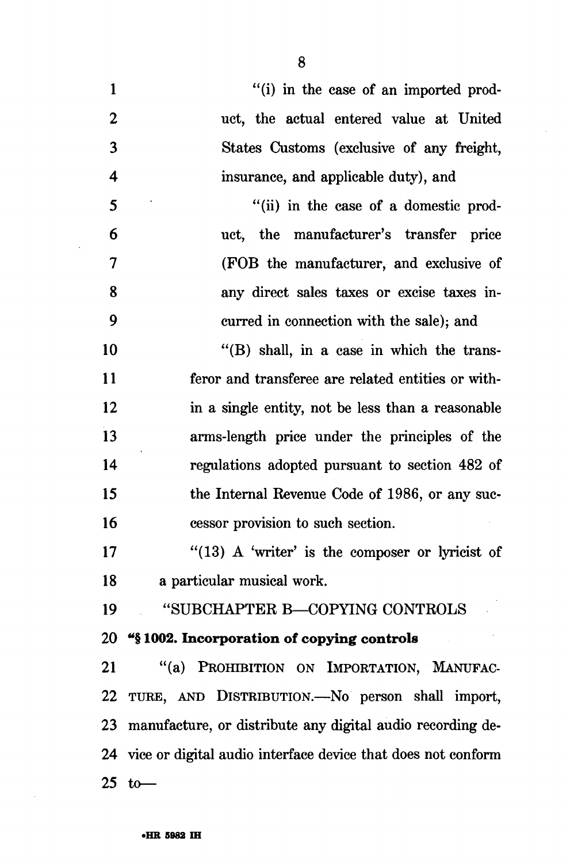8

 $\hat{\mathcal{A}}$ 

| 1                       | "(i) in the case of an imported prod-                           |
|-------------------------|-----------------------------------------------------------------|
| $\boldsymbol{2}$        | uct, the actual entered value at United                         |
| 3                       | States Customs (exclusive of any freight,                       |
| $\overline{\mathbf{4}}$ | insurance, and applicable duty), and                            |
| 5                       | "(ii) in the case of a domestic prod-                           |
| 6                       | uct, the manufacturer's transfer price                          |
| 7                       | (FOB the manufacturer, and exclusive of                         |
| 8                       | any direct sales taxes or excise taxes in-                      |
| 9                       | curred in connection with the sale); and                        |
| 10                      | $\cdot$ (B) shall, in a case in which the trans-                |
| 11                      | feror and transferee are related entities or with-              |
| 12                      | in a single entity, not be less than a reasonable               |
| 13                      | arms-length price under the principles of the                   |
| 14                      | regulations adopted pursuant to section 482 of                  |
| 15                      | the Internal Revenue Code of 1986, or any suc-                  |
| 16                      | cessor provision to such section.                               |
| 17                      | " $(13)$ A 'writer' is the composer or lyricist of              |
| 18                      | a particular musical work.                                      |
| 19                      | "SUBCHAPTER B-COPYING CONTROLS                                  |
|                         | 20 "§1002. Incorporation of copying controls                    |
| 21                      | "(a) PROHIBITION ON IMPORTATION, MANUFAC-                       |
|                         | 22 TURE, AND DISTRIBUTION.—No person shall import,              |
|                         | 23 manufacture, or distribute any digital audio recording de-   |
|                         | 24 vice or digital audio interface device that does not conform |
| 25                      | to                                                              |

 $\sim 10^{-1}$ 

 $\sim 10^{-10}$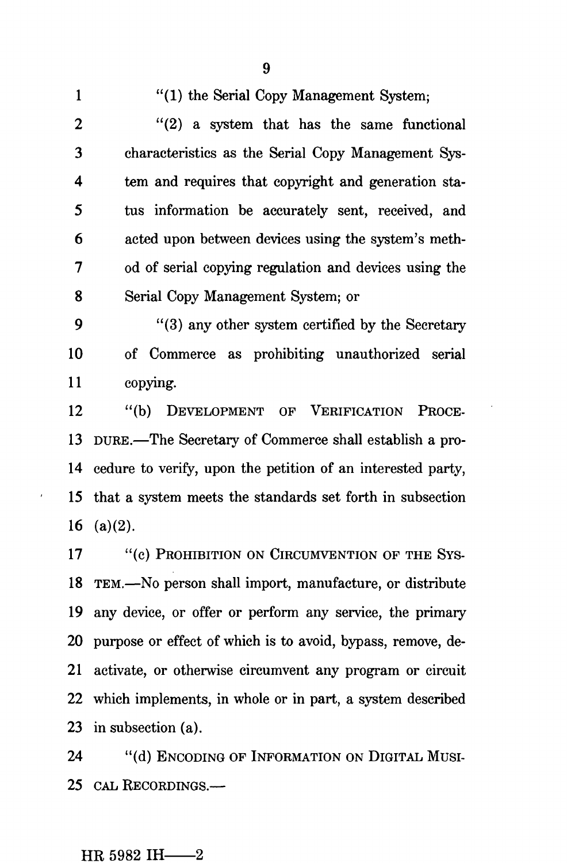1 "(1) the Serial Copy Management System; 2 "(2) a system that has the same functional 3 characteristics as the Serial Copy Management Sys-4 tern and requires that copyright and generation sta-5 tus information be accurately sent, received, and 6 acted upon between devices using the system's meth-7 od of serial copying regulation and devices using the 8 Serial Copy Management System; or

9 "(3) any other system certified by the Secretary 10 of Commerce as prohibiting unauthorized serial 11 copying.

12 "(b) DEVELOPMENT OF VERIFICATION PROCE-13 DURE.—The Secretary of Commerce shall establish a pro-14 cedure to verify, upon the petition of an interested party, 15 that a system meets the standards set forth in subsection 16 (a) $(2)$ .

17 "(c) PROHIBITION ON CIRCUMVENTION OF THE SYS-18 TEM.—No person shall import, manufacture, or distribute 19 any device, or offer or perform any service, the primary 20 purpose or effect of which is to avoid, bypass, remove, de-21 activate, or otherwise circumvent any program or circuit 22 which implements, in whole or in part, a system described 23 in subsection (a).

24 "(d) ENCODING OF INFORMATION ON DIGITAL MUSI-25 CAL RECORDINGS.—

# HR 5982 IH $-2$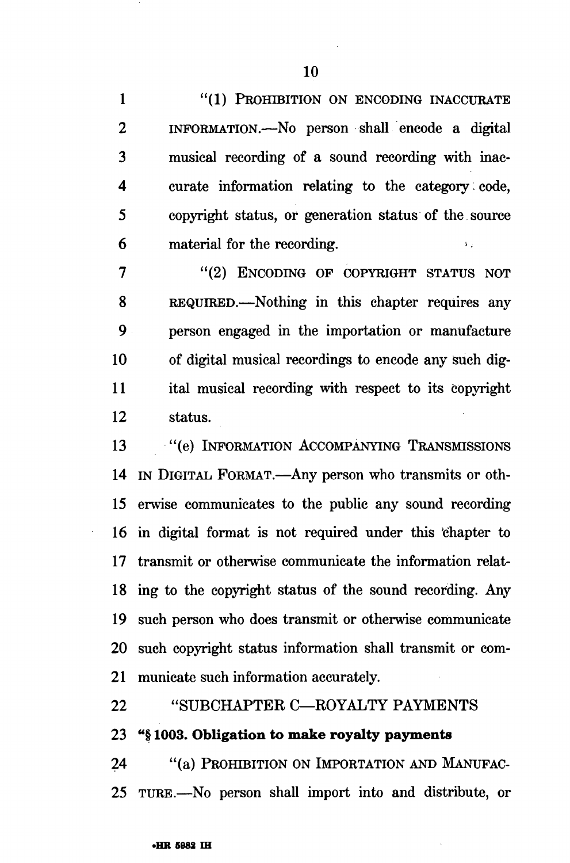1 "(1) PROHIBITION ON ENCODING INACCURATE 2 INFORMATION.—No person shall encode a digital 3 musical recording of a sound recording with inac-4 curate information relating to the category; code, 5 copyright status, or generation status of the source  $6$  material for the recording.

7 "(2) ENCODING OF COPYRIGHT STATUS NOT 8 REQUIRED.—Nothing in this chapter requires any 9 person engaged in the importation or manufacture 10 of digital musical recordings to encode any such dig-11 ital musical recording with respect to its copyright 12 status.

13 "(e) INFORMATION ACCOMPANYING TRANSMISSIONS 14 IN DIGITAL FORMAT.—Any person who transmits or oth-15 erwise communicates to the public any sound recording 16 in digital format is not required under this 'chapter to 17 transmit or otherwise communicate the information relat-18 ing to the copyright status of the sound recording. Any 19 such person who does transmit or otherwise communicate 20 such copyright status information shall transmit or com-21 municate such information accurately.

22 "SUBCHAPTER C—ROYALTY PAYMENTS

23 "§ 1003. Obligation to make royalty payments

24 "(a) PROHIBITION ON IMPORTATION AND MANUFAC-25 TURE.—No person shall import into and distribute, or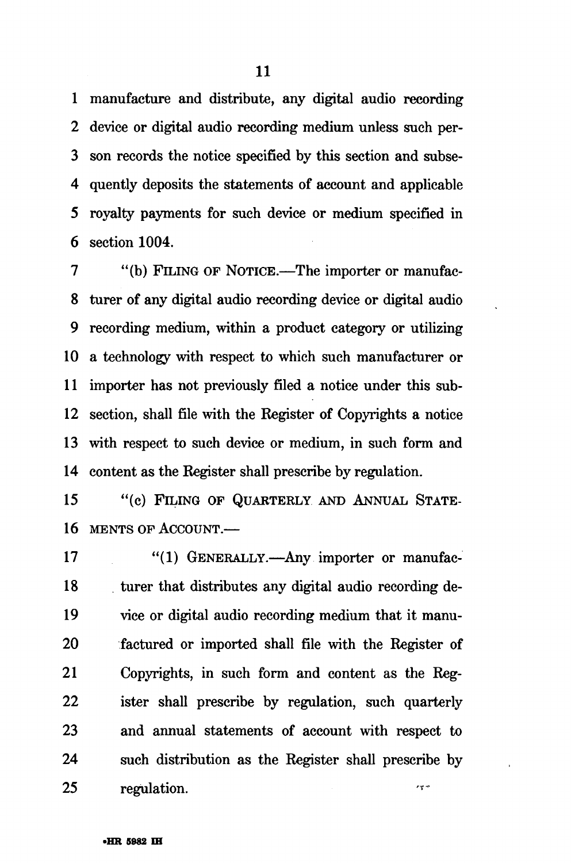1 manufacture and distribute, any digital audio recording 2 device or digital audio recording medium unless such per-3 son records the notice specified by this section and subse-4 quently deposits the statements of account and applicable 5 royalty payments for such device or medium specified in 6 section 1004.

7 "(b) FILING OF NOTICE.—The importer or manufac-8 turer of any digital audio recording device or digital audio 9 recording medium, within a product category or utilizing 10 a technology with respect to which such manufacturer or 11 importer has not previously filed a notice under this sub-12 section, shall file with the Register of Copyrights a notice 13 with respect to such device or medium, in such form and 14 content as the Register shall prescribe by regulation.

15 "(c) FILING OF QUARTERLY AND ANNUAL STATE-16 MENTS OF ACCOUNT.—

17 "(1) GENERALLY.—Any importer or manufac-18 turer that distributes any digital audio recording de-19 vice or digital audio recording medium that it manu-20 factured or imported shall file with the Register of 21 Copyrights, in such form and content as the Reg-22 ister shall prescribe by regulation, such quarterly 23 and annual statements of account with respect to 24 such distribution as the Register shall prescribe by 25 regulation.  $r \nabla \phi$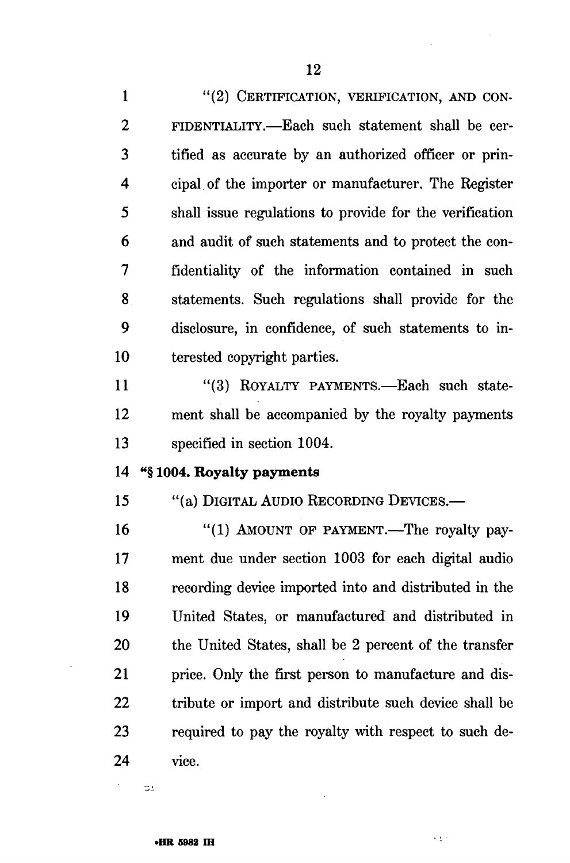1 "(2) CERTIFICATION, VERIFICATION, AND CON-2 FIDENTIALITY.—Each such statement shall be cer-3 tified as accurate by an authorized officer or prin-4 cipal of the importer or manufacturer. The Register 5 shall issue regulations to provide for the verification 6 and audit of such statements and to protect the con-7 fidentiality of the information contained in such 8 statements. Such regulations shall provide for the 9 disclosure, in confidence, of such statements to in-10 terested copyright parties.

11 "(3) ROYALTY PAYMENTS.—Each such state-12 ment shall be accompanied by the royalty payments 13 specified in section 1004.

# 14 \*\*§ **1004. Royalty payments**

15 "(a) DIGITAL AUDIO RECORDING DEVICES.—

16 "(1) AMOUNT OF PAYMENT.—The royalty pay-17 ment due under section 1003 for each digital audio 18 recording device imported into and distributed in the 19 United States, or manufactured and distributed in 20 the United States, shall be 2 percent of the transfer 21 price. Only the first person to manufacture and dis-22 tribute or import and distribute such device shall be 23 required to pay the royalty with respect to such de-24 vice.

 $\epsilon \lesssim 1$ 

 $\Xi_L$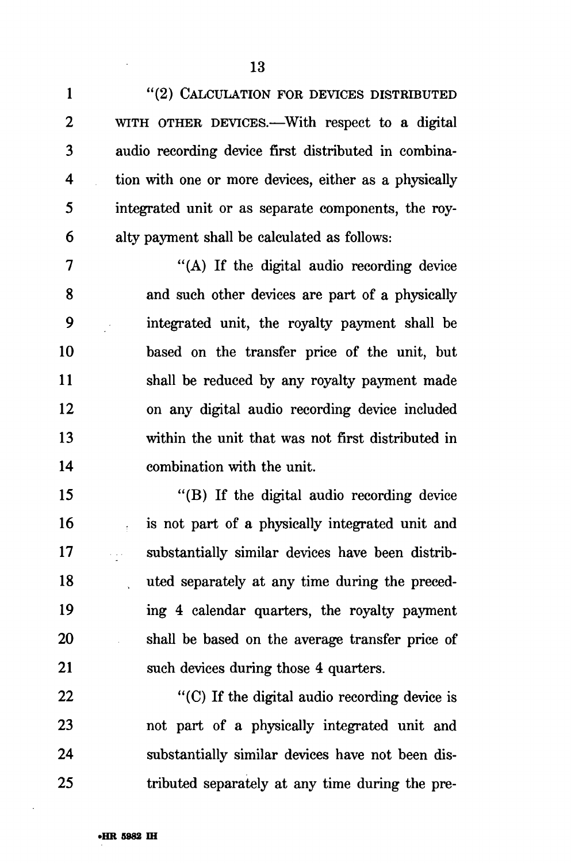1 "(2) CALCULATION FOR DEVICES DISTRIBUTED 2 WITH OTHER DEVICES.—With respect to a digital 3 audio recording device first distributed in combina-4 tion with one or more devices, either as a physically 5 integrated unit or as separate components, the roy-6 alty payment shall be calculated as follows:

7 "(A) If the digital audio recording device 8 and such other devices are part of a physically 9 integrated unit, the royalty payment shall be 10 based on the transfer price of the unit, but 11 shall be reduced by any royalty payment made 12 on any digital audio recording device included 13 within the unit that was not first distributed in 14 combination with the unit.

15 "(B) If the digital audio recording device 16 is not part of a physically integrated unit and 17 substantially similar devices have been distrib-18 uted separately at any time during the preced-19 ing 4 calendar quarters, the royalty payment 20 shall be based on the average transfer price of 21 such devices during those 4 quarters.

22 "(C) If the digital audio recording device is 23 not part of a physically integrated unit and 24 substantially similar devices have not been dis-25 tributed separately at any time during the pre-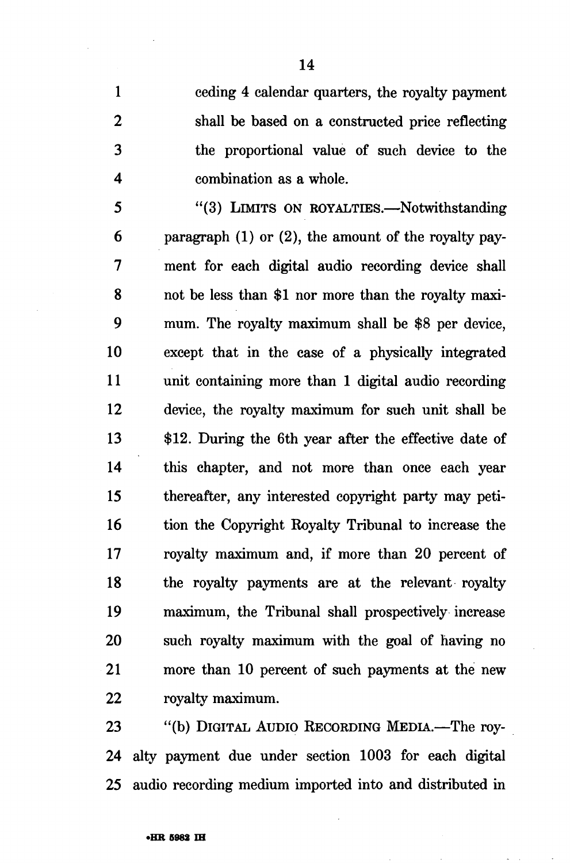1 ceding 4 calendar quarters, the royalty payment 2 shall be based on a constructed price reflecting 3 the proportional value of such device to the 4 combination as a whole.

5 "(3) LIMITS ON ROYALTIES.—Notwithstanding 6 paragraph (1) or (2), the amount of the royalty pay-7 ment for each digital audio recording device shall 8 not be less than \$1 nor more than the royalty maxi-9 mum. The royalty maximum shall be \$8 per device, 10 except that in the case of a physically integrated 11 unit containing more than 1 digital audio recording 12 device, the royalty maximum for such unit shall be 13 \$12. During the 6th year after the effective date of 14 this chapter, and not more than once each year 15 thereafter, any interested copyright party may peti-16 tion the Copyright Royalty Tribunal to increase the 17 royalty maximum and, if more than 20 percent of 18 the royalty payments are at the relevant royalty 19 maximum, the Tribunal shall prospectively increase 20 such royalty maximum with the goal of having no 21 more than 10 percent of such payments at the new 22 royalty maximum.

23 "(b) DIGITAL AUDIO RECORDING MEDIA.—The roy-24 alty payment due under section 1003 for each digital 25 audio recording medium imported into and distributed in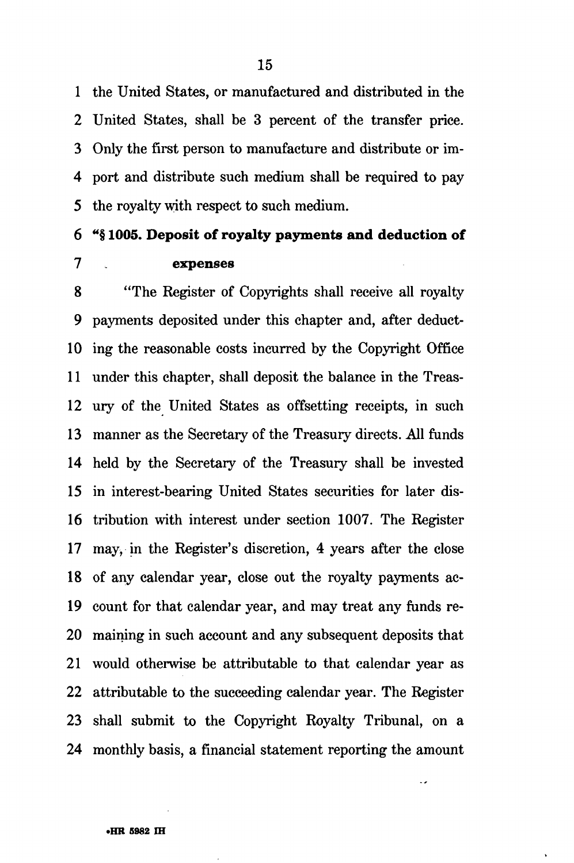1 the United States, or manufactured and distributed in the 2 United States, shall be 3 percent of the transfer price. 3 Only the first person to manufacture and distribute or im-4 port and distribute such medium shall be required to pay 5 the royalty with respect to such medium.

# 6 "§ **1005. Deposit of royalty payments and deduction of 7 expenses**

**8** "The Register of Copyrights shall receive all royalty 9 payments deposited under this chapter and, after deduct-10 ing the reasonable costs incurred by the Copyright Office 11 under this chapter, shall deposit the balance in the Treas-12 ury of the United States as offsetting receipts, in such 13 manner as the Secretary of the Treasury directs. All funds 14 held by the Secretary of the Treasury shall be invested 15 in interest-bearing United States securities for later dis-16 tribution with interest under section 1007. The Register 17 *may,* in the Register's discretion, 4 years after the close 18 of any calendar year, close out the royalty payments ac-19 count for that calendar year, and may treat any funds re-20 maining in such account and any subsequent deposits that 21 would otherwise be attributable to that calendar year as 22 attributable to the succeeding calendar year. The Register 23 shall submit to the Copyright Royalty Tribunal, on a 24 monthly basis, a financial statement reporting the amount

**•HR 5982 IH**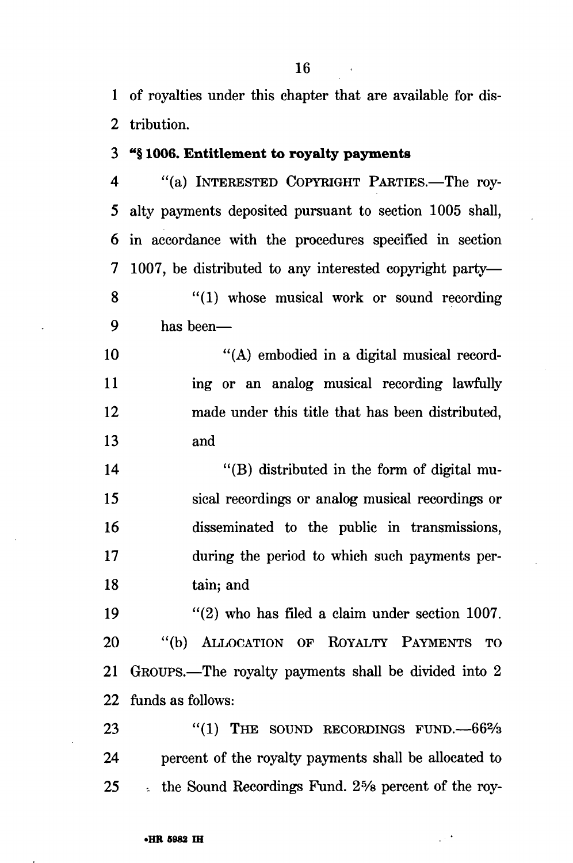1 of royalties under this chapter that are available for dis-2 tribution.

## 3 "§ 1006. Entitlement to royalty payments

4 "(a) INTERESTED COPYRIGHT PARTIES.—The roy-5 alty payments deposited pursuant to section 1005 shall, 6 in accordance with the procedures specified in section 7 1007, be distributed to any interested copyright party— 8 "(1) whose musical work or sound recording 9 has been—

10 "(A) embodied in a digital musical record-11 ing or an analog musical recording lawfully 12 made under this title that has been distributed, 13 and

14 "(B) distributed in the form of digital mu-15 sical recordings or analog musical recordings or 16 disseminated to the public in transmissions, 17 during the period to which such payments per-18 tain; and

19 "(2) who has filed a claim under section 1007. 20 "(b) ALLOCATION OF ROYALTY PAYMENTS TO 21 GROUPS.—The royalty payments shall be divided into 2 22 funds as follows:

23 "(1) THE SOUND RECORDINGS FUND. --- 66<sup>2</sup>/<sub>3</sub> 24 percent of the royalty payments shall be allocated to 25 . the Sound Recordings Fund. 2% percent of the roy-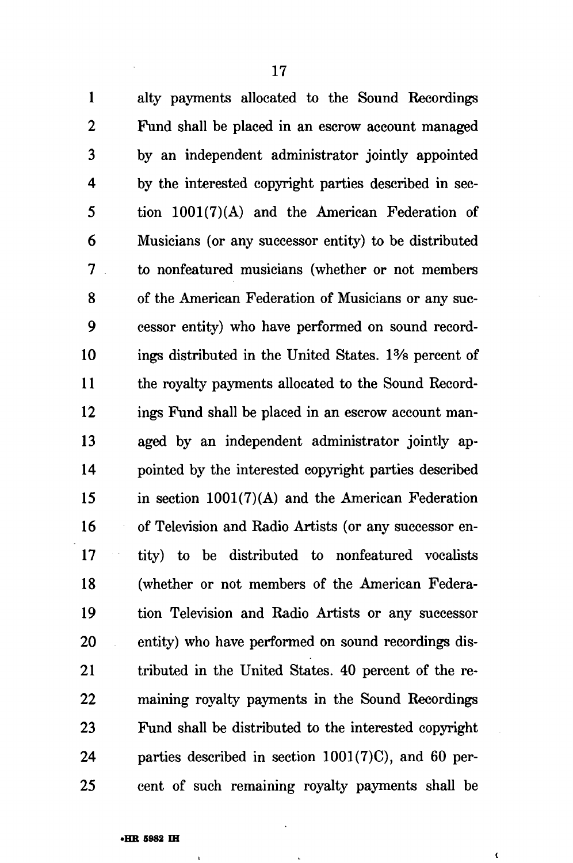1 alty payments allocated to the Sound Recordings 2 Fund shall be placed in an escrow account managed 3 by an independent administrator jointly appointed 4 by the interested copyright parties described in sec-5 tion  $1001(7)(A)$  and the American Federation of 6 Musicians (or any successor entity) to be distributed 7 to nonfeatured musicians (whether or not members 8 of the American Federation of Musicians or any suc-9 cessor entity) who have performed on sound record-10 ings distributed in the United States. 1% percent of 11 the royalty payments allocated to the Sound Record-12 ings Fund shall be placed in an escrow account man-13 aged by an independent administrator jointly ap-14 pointed by the interested copyright parties described 15 in section 1001(7)(A) and the American Federation 16 of Television and Radio Artists (or any successor en-17 tity) to be distributed to nonfeatured vocalists 18 (whether or not members of the American Federa-19 tion Television and Radio Artists or any successor 20 entity) who have performed on sound recordings dis-21 tributed in the United States. 40 percent of the re-22 maining royalty payments in the Sound Recordings 23 Fund shall be distributed to the interested copyright 24 parties described in section 1001(7)C), and 60 per-25 cent of such remaining royalty payments shall be

**{**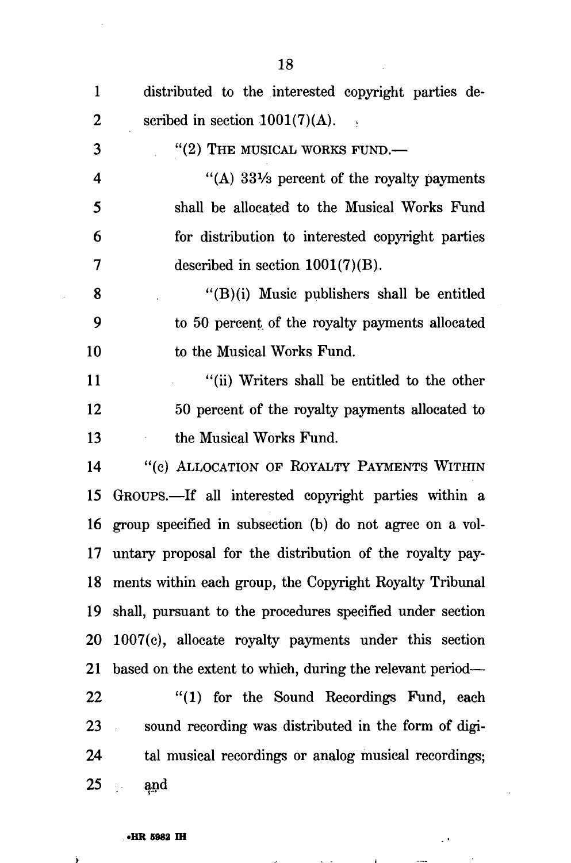| $\mathbf{1}$ | distributed to the interested copyright parties de-          |
|--------------|--------------------------------------------------------------|
| 2            | scribed in section $1001(7)(A)$ .                            |
| 3            | $"$ (2) THE MUSICAL WORKS FUND.—                             |
| 4            | "(A) $33\frac{1}{3}$ percent of the royalty payments         |
| 5            | shall be allocated to the Musical Works Fund                 |
| 6            | for distribution to interested copyright parties             |
| 7            | described in section $1001(7)(B)$ .                          |
| 8            | $"({\rm B})$ (i) Music publishers shall be entitled          |
| 9            | to 50 percent of the royalty payments allocated              |
| 10           | to the Musical Works Fund.                                   |
| 11           | "(ii) Writers shall be entitled to the other                 |
| 12           | 50 percent of the royalty payments allocated to              |
| 13           | the Musical Works Fund.                                      |
| 14           | "(c) ALLOCATION OF ROYALTY PAYMENTS WITHIN                   |
| 15           | GROUPS.—If all interested copyright parties within a         |
| 16           | group specified in subsection (b) do not agree on a vol-     |
| 17           | untary proposal for the distribution of the royalty pay-     |
| 18           | ments within each group, the Copyright Royalty Tribunal      |
|              | 19 shall, pursuant to the procedures specified under section |
|              | 20 1007(c), allocate royalty payments under this section     |
| 21           | based on the extent to which, during the relevant period—    |
| 22           | "(1) for the Sound Recordings Fund, each                     |
| 23           | sound recording was distributed in the form of digi-         |
| 24           | tal musical recordings or analog musical recordings;         |
| 25           | e and                                                        |

 $\ddot{\phantom{0}}$ 

 $\bar{\mathcal{A}}$ 

and the state of the state of the

 $\Delta \sim 10^{-11}$ 

 $\mathbf{z}$ 

### **•HR 5982 IH**

 $\ddot{y}$ 

18

 $\sim$ 

 $\bar{z}$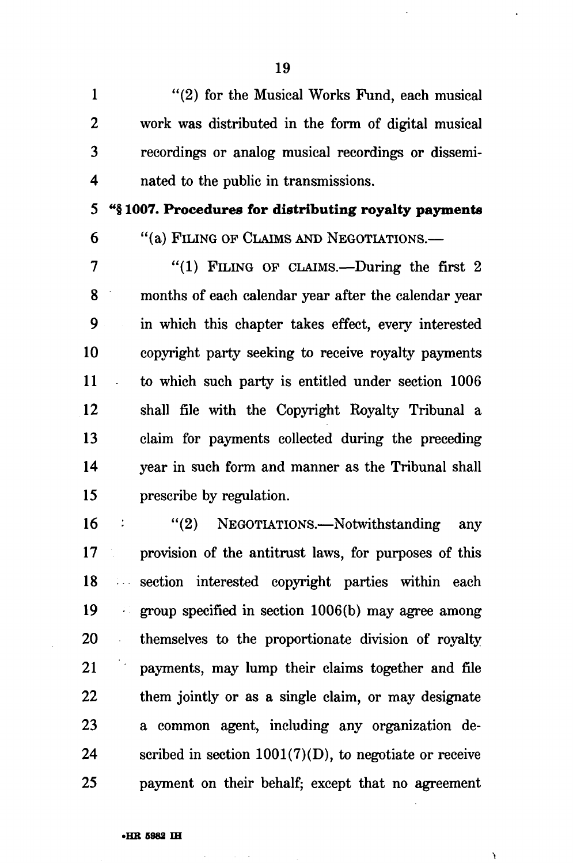1 "(2) for the Musical Works Fund, each musical 2 work was distributed in the form of digital musical 3 recordings or analog musical recordings or dissemi-4 nated to the public in transmissions.

5 "§ **1007. Procedures for distributing royalty payments** 

6 "(a) FILING OP CLAIMS AND NEGOTIATIONS.—

7 "(1) FILING OF CLAIMS.—During the first 2 8 months of each calendar year after the calendar year 9 in which this chapter takes effect, every interested 10 copyright party seeking to receive royalty payments 11 to which such party is entitled under section 1006 12 shall file with the Copyright Royalty Tribunal a 13 claim for payments collected during the preceding 14 year in such form and manner as the Tribunal shall 15 prescribe by regulation.

16 : "(2) NEGOTIATIONS.—Notwithstanding any 17 provision of the antitrust laws, for purposes of this 18 section interested copyright parties within each 19 group specified in section 1006(b) may agree among 20 themselves to the proportionate division of royalty 21 payments, may lump their claims together and file 22 them jointly or as a single claim, or may designate 23 a common agent, including any organization de-24 scribed in section  $1001(7)(D)$ , to negotiate or receive 25 payment on their behalf; except that no agreement

**•i**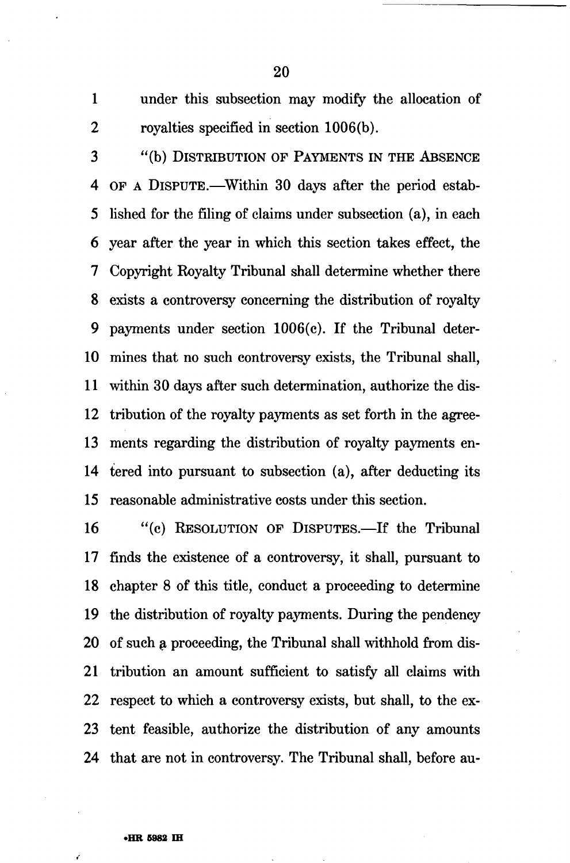1 under this subsection may modify the allocation of 2 royalties specified in section 1006(b).

3 "(b) DISTRIBUTION OF PAYMENTS IN THE ABSENCE 4 OF A DISPUTE.—Within 30 days after the period estab-5 lished for the filing of claims under subsection (a), in each 6 year after the year in which this section takes effect, the 7 Copyright Royalty Tribunal shall determine whether there 8 exists a controversy concerning the distribution of royalty 9 payments under section 1006(c). If the Tribunal deter-10 mines that no such controversy exists, the Tribunal shall, 11 within 30 days after such determination, authorize the dis-12 tribution of the royalty payments as set forth in the agree-13 ments regarding the distribution of royalty payments en-14 tered into pursuant to subsection (a), after deducting its 15 reasonable administrative costs under this section.

16 "(c) RESOLUTION OF DISPUTES.—If the Tribunal 17 finds the existence of a controversy, it shall, pursuant to 18 chapter 8 of this title, conduct a proceeding to determine 19 the distribution of royalty payments. During the pendency 20 of such a proceeding, the Tribunal shall withhold from dis-21 tribution an amount sufficient to satisfy all claims with 22 respect to which a controversy exists, but shall, to the ex-23 tent feasible, authorize the distribution of any amounts 24 that are not in controversy. The Tribunal shall, before au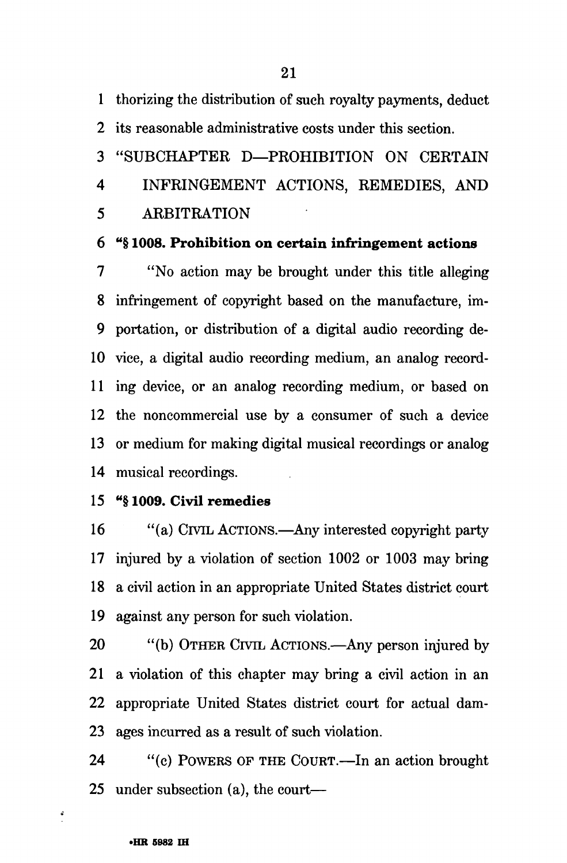1 thorizing the distribution of such royalty payments, deduct

2 its reasonable administrative costs under this section.

3 "SUBCHAPTER D—PROHIBITION ON CERTAIN

4 INFRINGEMENT ACTIONS, REMEDIES, AND

5 ARBITRATION

6 "§ **1008. Prohibition on certain infringement actions** 

7 "No action may be brought under this title alleging 8 infringement of copyright based on the manufacture, im-9 portation, or distribution of a digital audio recording de-10 vice, a digital audio recording medium, an analog record-11 ing device, or an analog recording medium, or based on 12 the noncommercial use by a consumer of such a device 13 or medium for making digital musical recordings or analog 14 musical recordings.

# 15 "§ **1009. Civil remedies**

16 "(a) CIVIL ACTIONS.—Any interested copyright party 17 injured by a violation of section 1002 or 1003 may bring 18 a civil action in an appropriate United States district court 19 against any person for such violation.

20 "(b) OTHER CIVIL ACTIONS.—Any person injured by 21 a violation of this chapter may bring a civil action in an 22 appropriate United States district court for actual dam-23 ages incurred as a result of such violation.

24 "(c) POWERS OF THE COURT.—In an action brought 25 under subsection (a), the court—

 $\ddot{\bullet}$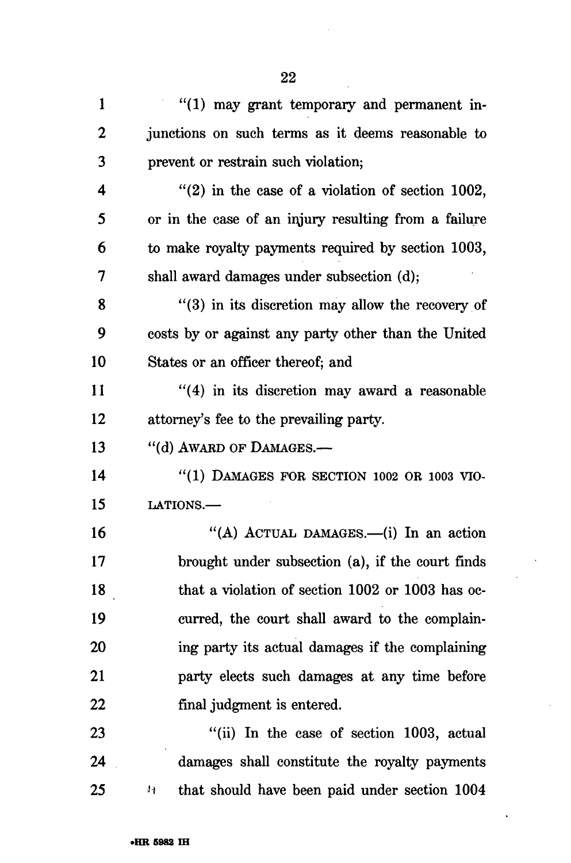| 1                | $"(1)$ may grant temporary and permanent in-                  |
|------------------|---------------------------------------------------------------|
| $\boldsymbol{2}$ | junctions on such terms as it deems reasonable to             |
| 3                | prevent or restrain such violation;                           |
| 4                | $\degree$ (2) in the case of a violation of section 1002,     |
| 5                | or in the case of an injury resulting from a failure          |
| 6                | to make royalty payments required by section 1003,            |
| 7                | shall award damages under subsection (d);                     |
| 8                | $\cdot$ (3) in its discretion may allow the recovery of       |
| 9                | costs by or against any party other than the United           |
| 10               | States or an officer thereof; and                             |
| 11               | $\cdot$ (4) in its discretion may award a reasonable          |
| 12               | attorney's fee to the prevailing party.                       |
| 13               | "(d) AWARD OF DAMAGES.-                                       |
| 14               | $"(1)$ DAMAGES FOR SECTION 1002 OR 1003 VIO-                  |
| 15               | LATIONS.-                                                     |
| 16               | "(A) ACTUAL DAMAGES.—(i) In an action                         |
| 17               | brought under subsection (a), if the court finds              |
| 18               | that a violation of section 1002 or 1003 has oc-              |
| 19               | curred, the court shall award to the complain-                |
| 20               | ing party its actual damages if the complaining               |
| 21               | party elects such damages at any time before                  |
| 22               | final judgment is entered.                                    |
| 23               | "(ii) In the case of section 1003, actual                     |
| 24               | damages shall constitute the royalty payments                 |
| 25               | that should have been paid under section 1004<br>$\mathbf{H}$ |

 $\bar{\beta}$ 

 $\ddot{\phantom{a}}$ 

 $\ddot{\phantom{a}}$ 

 $\bar{\mathcal{A}}$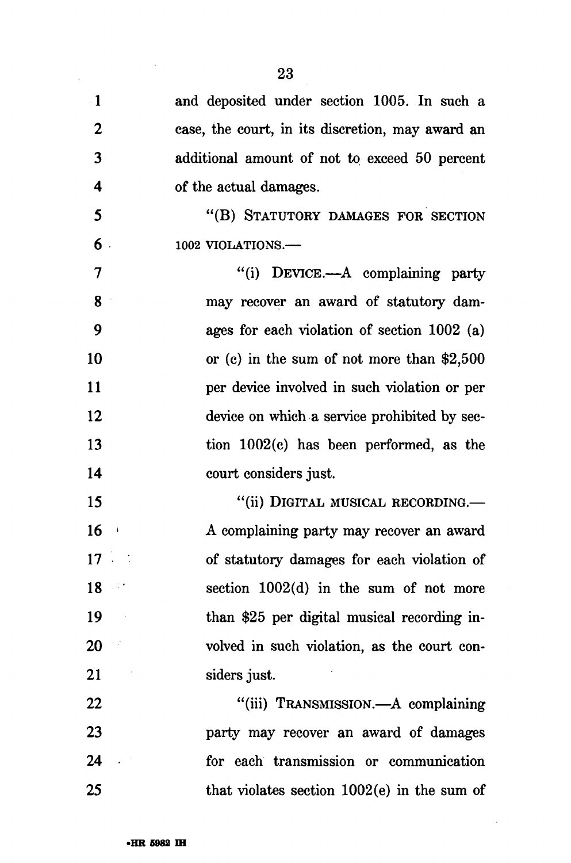|                          | 23                                               |
|--------------------------|--------------------------------------------------|
| $\cdot$ 1                | and deposited under section 1005. In such a      |
| $\overline{2}$           | case, the court, in its discretion, may award an |
| 3                        | additional amount of not to exceed 50 percent    |
| 4                        | of the actual damages.                           |
| 5                        | "(B) STATUTORY DAMAGES FOR SECTION               |
| 6.                       | 1002 VIOLATIONS.-                                |
| $\overline{\mathcal{I}}$ | "(i) DEVICE.—A complaining party                 |
| 8                        | may recover an award of statutory dam-           |
| 9                        | ages for each violation of section $1002$ (a)    |
| 10                       | or (c) in the sum of not more than $$2,500$      |
| 11                       | per device involved in such violation or per     |
| 12                       | device on which a service prohibited by sec-     |
| 13                       | tion $1002(c)$ has been performed, as the        |
| 14                       | court considers just.                            |
| 15                       | "(ii) DIGITAL MUSICAL RECORDING.—                |
| 16                       | A complaining party may recover an award         |
| 17                       | of statutory damages for each violation of       |
| 18                       | section $1002(d)$ in the sum of not more<br>147  |
| 19                       | than \$25 per digital musical recording in-      |
| 20                       | volved in such violation, as the court con-      |
| 21                       | siders just.                                     |
| 22                       | "(iii) TRANSMISSION.—A complaining               |
| 23                       | party may recover an award of damages            |
| 24                       | for each transmission or communication           |
| 25                       | that violates section $1002(e)$ in the sum of    |

 $\sim 10^{-1}$ 

 $\sim$   $\sim$ 

 $\mathcal{L}_{\mathcal{A}}$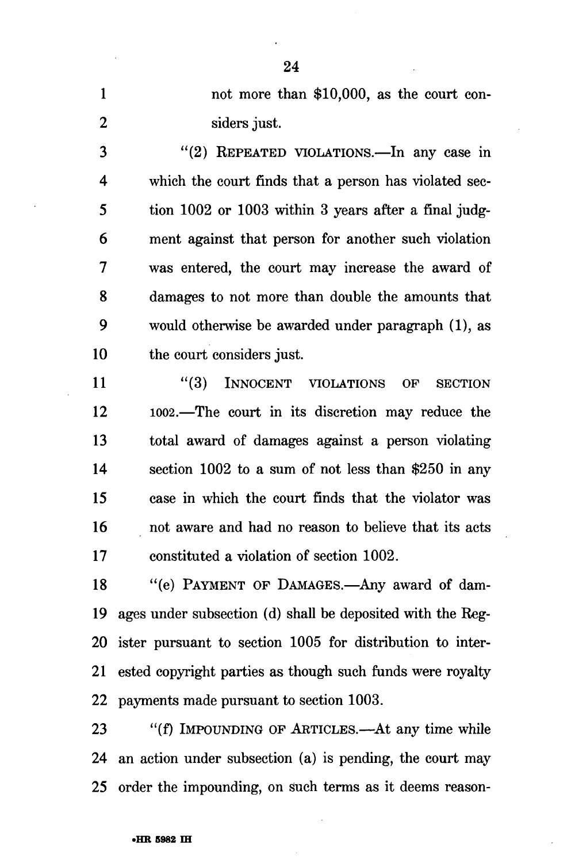1 not more than \$10,000, as the court con-2 siders just.

3 "(2) REPEATED VIOLATIONS.—In any case in 4 which the court finds that a person has violated sec-5 tion 1002 or 1003 within 3 years after a final judg-6 ment against that person for another such violation 7 was entered, the court may increase the award of 8 damages to not more than double the amounts that 9 would otherwise be awarded under paragraph (1), as 10 the court considers just.

11 "(3) INNOCENT VIOLATIONS OF SECTION 12 1002.—The court in its discretion may reduce the 13 total award of damages against a person violating 14 section 1002 to a sum of not less than \$250 in any 15 case in which the court finds that the violator was 16 not aware and had no reason to believe that its acts 17 constituted a violation of section 1002.

18 "(e) PAYMENT OF DAMAGES.—Any award of dam-19 ages under subsection (d) shall be deposited with the Reg-20 ister pursuant to section 1005 for distribution to inter-21 ested copyright parties as though such funds were royalty 22 payments made pursuant to section 1003.

23 "(f) IMPOUNDING OF ARTICLES.—At any time while 24 an action under subsection (a) is pending, the court may 25 order the impounding, on such terms as it deems reason-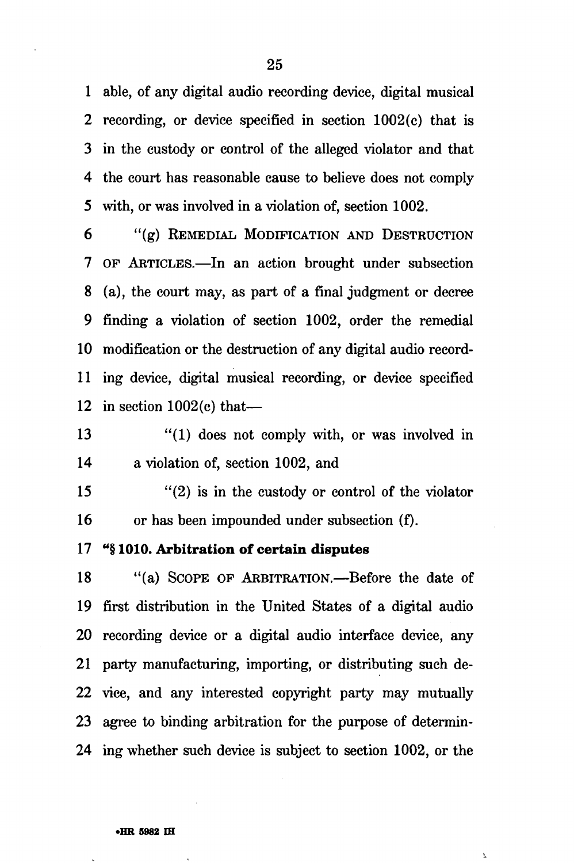1 able, of any digital audio recording device, digital musical 2 recording, or device specified in section 1002(c) that is 3 in the custody or control of the alleged violator and that 4 the court has reasonable cause to believe does not comply 5 with, or was involved in a violation of, section 1002.

6 "(g) REMEDIAL MODIFICATION AND DESTRUCTION 7 OF ARTICLES.—In an action brought under subsection 8 (a), the court may, as part of a final judgment or decree 9 finding a violation of section 1002, order the remedial 10 modification or the destruction of any digital audio record-11 ing device, digital musical recording, or device specified 12 in section 1002(c) that—

13 "(1) does not comply with, or was involved in 14 a violation of, section 1002, and

15 "(2) is in the custody or control of the violator 16 or has been impounded under subsection (f).

#### 17 <sup>u</sup>§ 1010. Arbitration of certain disputes

18 "(a) SCOPE OF ARBITRATION.—Before the date of 19 first distribution in the United States of a digital audio 20 recording device or a digital audio interface device, any 21 party manufacturing, importing, or distributing such de-22 vice, and any interested copyright party may mutually 23 agree to binding arbitration for the purpose of determin-24 ing whether such device is subject to section 1002, or the

ī.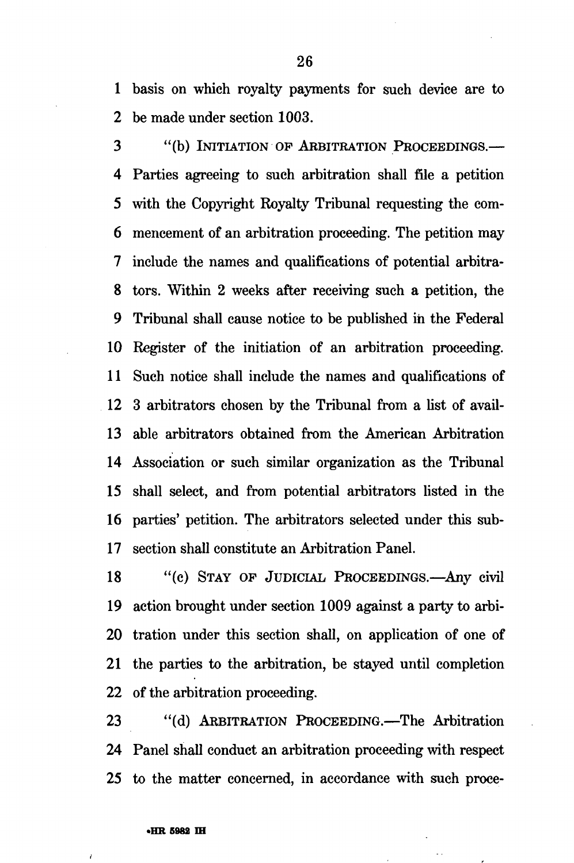1 basis on which royalty payments for such device are to 2 be made under section 1003.

3 "(b) INITIATION OF ARBITRATION PROCEEDINGS.— 4 Parties agreeing to such arbitration shall file a petition 5 with the Copyright Royalty Tribunal requesting the com-6 mencement of an arbitration proceeding. The petition may 7 include the names and qualifications of potential arbitra-8 tors. Within 2 weeks after receiving such a petition, the 9 Tribunal shall cause notice to be published in the Federal 10 Register of the initiation of an arbitration proceeding. 11 Such notice shall include the names and qualifications of 12 3 arbitrators chosen by the Tribunal from a list of avail-13 able arbitrators obtained from the American Arbitration 14 Association or such similar organization as the Tribunal 15 shall select, and from potential arbitrators listed in the 16 parties' petition. The arbitrators selected under this sub-17 section shall constitute an Arbitration Panel.

18 "(c) STAY OF JUDICIAL PROCEEDINGS.—Any civil 19 action brought under section 1009 against a party to arbi-20 tration under this section shall, on application of one of 21 the parties to the arbitration, be stayed until completion 22 of the arbitration proceeding.

23 "(d) ARBITRATION PROCEEDING.—The Arbitration 24 Panel shall conduct an arbitration proceeding with respect 25 to the matter concerned, in accordance with such proce-

 $\overline{1}$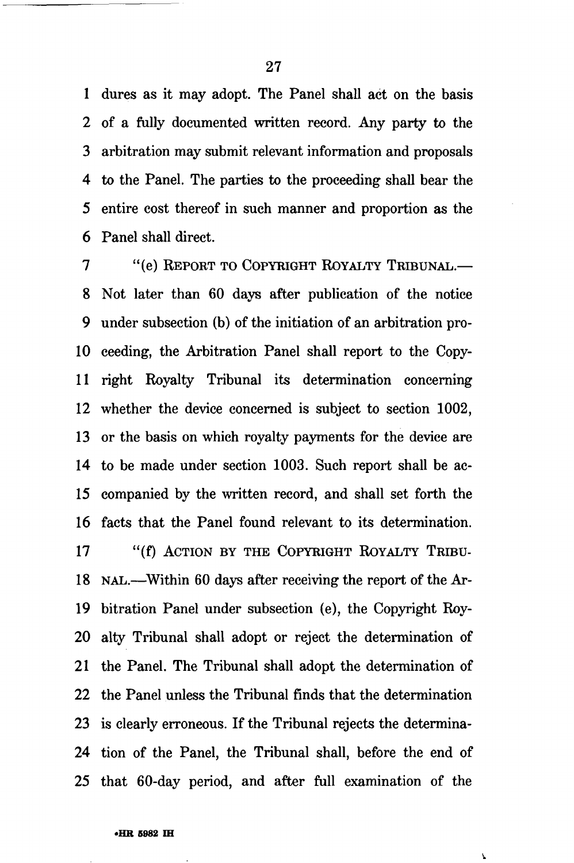1 dures as it may adopt. The Panel shall act on the basis 2 of a fully documented written record. Any party to the 3 arbitration may submit relevant information and proposals 4 to the Panel. The parties to the proceeding shall bear the 5 entire cost thereof in such manner and proportion as the 6 Panel shall direct.

7 "(e) REPORT TO COPYRIGHT ROYALTY TRIBUNAL.— 8 Not later than 60 days after publication of the notice 9 under subsection (b) of the initiation of an arbitration pro-10 ceeding, the Arbitration Panel shall report to the Copy-11 right Royalty Tribunal its determination concerning 12 whether the device concerned is subject to section 1002, 13 or the basis on which royalty payments for the device are 14 to be made under section 1003. Such report shall be ac-15 companied by the written record, and shall set forth the 16 facts that the Panel found relevant to its determination. 17 "(f) ACTION BY THE COPYRIGHT ROYALTY TRIBU-18 NAL.—Within 60 days after receiving the report of the Ar-19 bitration Panel under subsection (e), the Copyright Roy-20 alty Tribunal shall adopt or reject the determination of 21 the Panel. The Tribunal shall adopt the determination of 22 the Panel unless the Tribunal finds that the determination 23 is clearly erroneous. If the Tribunal rejects the determina-24 tion of the Panel, the Tribunal shall, before the end of 25 that 60-day period, and after full examination of the

**\.**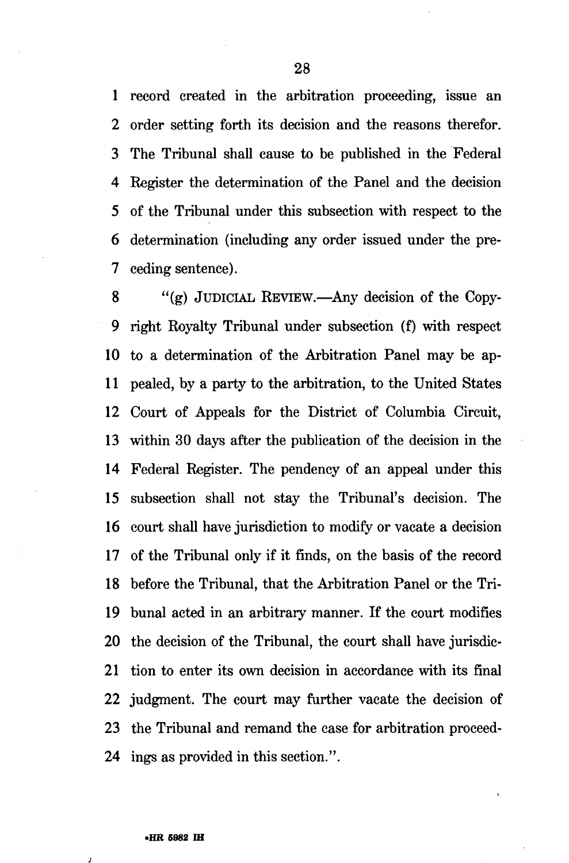1 record created in the arbitration proceeding, issue an 2 order setting forth its decision and the reasons therefor. 3 The Tribunal shall cause to be published in the Federal 4 Register the determination of the Panel and the decision 5 of the Tribunal under this subsection with respect to the 6 determination (including any order issued under the pre-7 ceding sentence).

8 "(g) JUDICIAL REVIEW.—Any decision of the Copy-9 right Royalty Tribunal under subsection (f) with respect 10 to a determination of the Arbitration Panel may be ap-11 pealed, by a party to the arbitration, to the United States 12 Court of Appeals for the District of Columbia Circuit, 13 within 30 days after the publication of the decision in the 14 Federal Register. The pendency of an appeal under this 15 subsection shall not stay the Tribunal's decision. The 16 court shall have jurisdiction to modify or vacate a decision 17 of the Tribunal only if it finds, on the basis of the record 18 before the Tribunal, that the Arbitration Panel or the Tri-19 bunal acted in an arbitrary manner. If the court modifies 20 the decision of the Tribunal, the court shall have jurisdic-21 tion to enter its own decision in accordance with its final 22 judgment. The court may further vacate the decision of 23 the Tribunal and remand the case for arbitration proceed-24 ings as provided in this section.".

**j**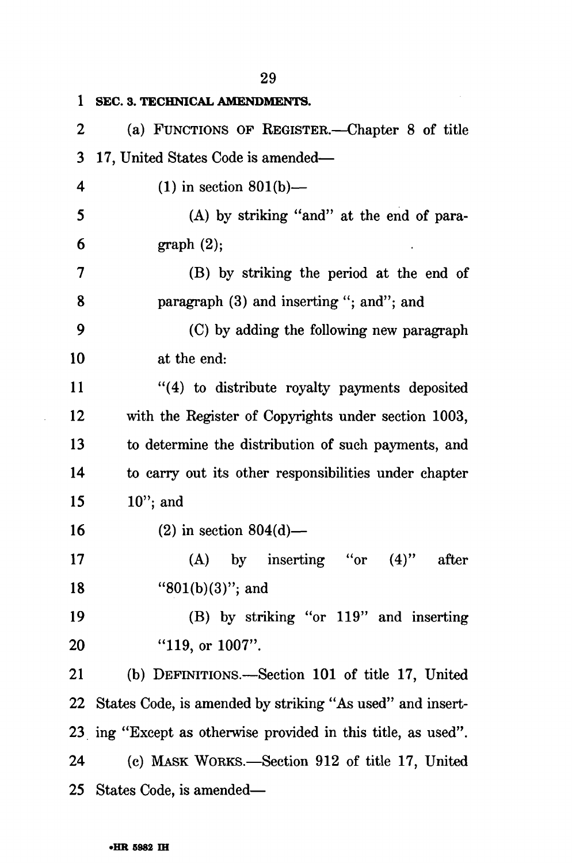| 1  | SEC. 3. TECHNICAL AMENDMENTS.                                 |
|----|---------------------------------------------------------------|
| 2  | (a) FUNCTIONS OF REGISTER.—Chapter 8 of title                 |
| 3  | 17, United States Code is amended—                            |
| 4  | $(1)$ in section 801(b)—                                      |
| 5  | (A) by striking "and" at the end of para-                     |
| 6  | graph(2);                                                     |
| 7  | (B) by striking the period at the end of                      |
| 8  | paragraph (3) and inserting "; and"; and                      |
| 9  | (C) by adding the following new paragraph                     |
| 10 | at the end:                                                   |
| 11 | "(4) to distribute royalty payments deposited                 |
| 12 | with the Register of Copyrights under section 1003,           |
| 13 | to determine the distribution of such payments, and           |
| 14 | to carry out its other responsibilities under chapter         |
| 15 | $10$ "; and                                                   |
| 16 | $(2)$ in section 804 $(d)$ —                                  |
| 17 | $(A)$ by inserting "or<br>$(4)$ "<br>after                    |
| 18 | " $801(b)(3)$ "; and                                          |
| 19 | (B) by striking "or 119" and inserting                        |
| 20 | " $119$ , or $1007$ ".                                        |
| 21 | (b) DEFINITIONS.—Section 101 of title 17, United              |
| 22 | States Code, is amended by striking "As used" and insert-     |
|    | 23 ing "Except as otherwise provided in this title, as used". |
| 24 | (c) MASK WORKS.—Section 912 of title 17, United               |
|    | 25 States Code, is amended—                                   |

### **•HR 5982 IH**

 $\langle \cdot \rangle$ 

29